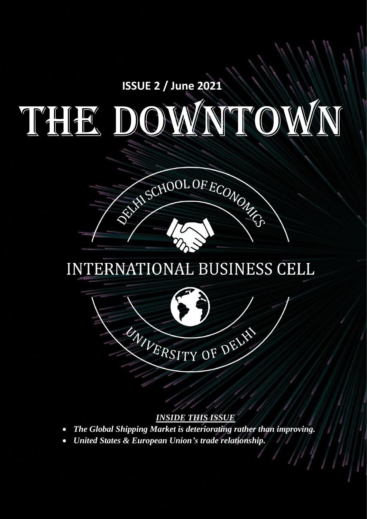*ISSUE 1 / JANUARY 2021* **ISSUE 2 / June 2021**

# THE DOWNTOWN

# **INTERNATIONAL BUSINESS CELL**

SEXASCHOOL OF ECONOMY CO



### *INSIDE THIS ISSUE*

- *The Global Shipping Market is deteriorating rather than improving.*
- *United States & European Union's trade relationship.*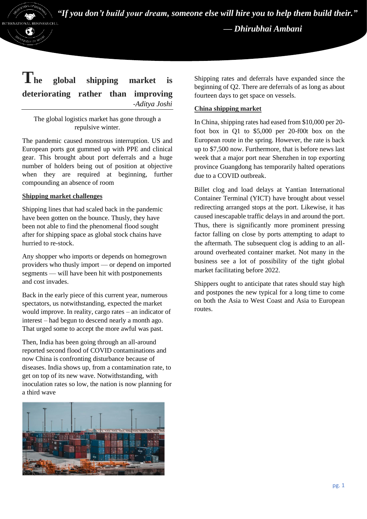*"If you don't build your dream, someone else will hire you to help them build their."* **INTERNATIONAL BUSINESS CELL** *— Dhirubhai Ambani*

## **The global shipping market is deteriorating rather than improving** *-Aditya Joshi*

#### The global logistics market has gone through a repulsive winter.

The pandemic caused monstrous interruption. US and European ports got gummed up with PPE and clinical gear. This brought about port deferrals and a huge number of holders being out of position at objective when they are required at beginning, further compounding an absence of room

#### **Shipping market challenges**

63

Shipping lines that had scaled back in the pandemic have been gotten on the bounce. Thusly, they have been not able to find the phenomenal flood sought after for shipping space as global stock chains have hurried to re-stock.

Any shopper who imports or depends on homegrown providers who thusly import — or depend on imported segments — will have been hit with postponements and cost invades.

Back in the early piece of this current year, numerous spectators, us notwithstanding, expected the market would improve. In reality, cargo rates – an indicator of interest – had begun to descend nearly a month ago. That urged some to accept the more awful was past.

Then, India has been going through an all-around reported second flood of COVID contaminations and now China is confronting disturbance because of diseases. India shows up, from a contamination rate, to get on top of its new wave. Notwithstanding, with inoculation rates so low, the nation is now planning for a third wave



Shipping rates and deferrals have expanded since the beginning of Q2. There are deferrals of as long as about fourteen days to get space on vessels.

#### **China shipping market**

In China, shipping rates had eased from \$10,000 per 20 foot box in Q1 to \$5,000 per 20-f00t box on the European route in the spring. However, the rate is back up to \$7,500 now. Furthermore, that is before news last week that a major port near Shenzhen in top exporting province Guangdong has temporarily halted operations due to a COVID outbreak.

Billet clog and load delays at Yantian International Container Terminal (YICT) have brought about vessel redirecting arranged stops at the port. Likewise, it has caused inescapable traffic delays in and around the port. Thus, there is significantly more prominent pressing factor falling on close by ports attempting to adapt to the aftermath. The subsequent clog is adding to an allaround overheated container market. Not many in the business see a lot of possibility of the tight global market facilitating before 2022.

Shippers ought to anticipate that rates should stay high and postpones the new typical for a long time to come on both the Asia to West Coast and Asia to European routes.